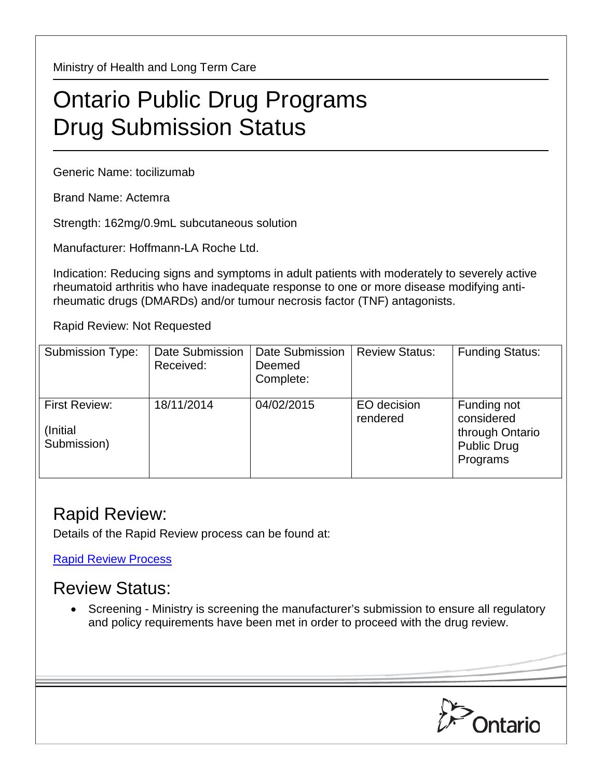Ministry of Health and Long Term Care

## Ontario Public Drug Programs Drug Submission Status

Generic Name: tocilizumab

Brand Name: Actemra

Strength: 162mg/0.9mL subcutaneous solution

Manufacturer: Hoffmann-LA Roche Ltd.

Indication: Reducing signs and symptoms in adult patients with moderately to severely active rheumatoid arthritis who have inadequate response to one or more disease modifying antirheumatic drugs (DMARDs) and/or tumour necrosis factor (TNF) antagonists.

Rapid Review: Not Requested

| <b>Submission Type:</b>                   | Date Submission<br>Received: | Date Submission<br>Deemed<br>Complete: | <b>Review Status:</b>   | <b>Funding Status:</b>                                                         |
|-------------------------------------------|------------------------------|----------------------------------------|-------------------------|--------------------------------------------------------------------------------|
| First Review:<br>(Initial)<br>Submission) | 18/11/2014                   | 04/02/2015                             | EO decision<br>rendered | Funding not<br>considered<br>through Ontario<br><b>Public Drug</b><br>Programs |

## Rapid Review:

Details of the Rapid Review process can be found at:

[Rapid Review Process](http://www.health.gov.on.ca/en/pro/programs/drugs/drug_submissions/rapid_review_process.aspx)

## Review Status:

• Screening - Ministry is screening the manufacturer's submission to ensure all regulatory and policy requirements have been met in order to proceed with the drug review.